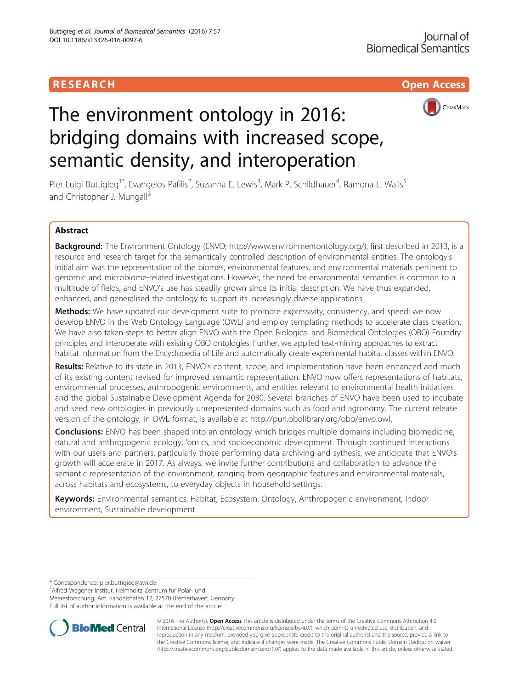# RESEARCH **RESEARCH CONSUMING ACCESS**



# The environment ontology in 2016: bridging domains with increased scope, semantic density, and interoperation

Pier Luigi Buttigieg<sup>1\*</sup>, Evangelos Pafilis<sup>2</sup>, Suzanna E. Lewis<sup>3</sup>, Mark P. Schildhauer<sup>4</sup>, Ramona L. Walls<sup>5</sup> and Christopher J. Mungall<sup>3</sup>

## Abstract

Background: The Environment Ontology (ENVO;<http://www.environmentontology.org/>), first described in 2013, is a resource and research target for the semantically controlled description of environmental entities. The ontology's initial aim was the representation of the biomes, environmental features, and environmental materials pertinent to genomic and microbiome-related investigations. However, the need for environmental semantics is common to a multitude of fields, and ENVO's use has steadily grown since its initial description. We have thus expanded, enhanced, and generalised the ontology to support its increasingly diverse applications.

**Methods:** We have updated our development suite to promote expressivity, consistency, and speed: we now develop ENVO in the Web Ontology Language (OWL) and employ templating methods to accelerate class creation. We have also taken steps to better align ENVO with the Open Biological and Biomedical Ontologies (OBO) Foundry principles and interoperate with existing OBO ontologies. Further, we applied text-mining approaches to extract habitat information from the Encyclopedia of Life and automatically create experimental habitat classes within ENVO.

Results: Relative to its state in 2013, ENVO's content, scope, and implementation have been enhanced and much of its existing content revised for improved semantic representation. ENVO now offers representations of habitats, environmental processes, anthropogenic environments, and entities relevant to environmental health initiatives and the global Sustainable Development Agenda for 2030. Several branches of ENVO have been used to incubate and seed new ontologies in previously unrepresented domains such as food and agronomy. The current release version of the ontology, in OWL format, is available at<http://purl.obolibrary.org/obo/envo.owl>.

**Conclusions:** ENVO has been shaped into an ontology which bridges multiple domains including biomedicine, natural and anthropogenic ecology, 'omics, and socioeconomic development. Through continued interactions with our users and partners, particularly those performing data archiving and sythesis, we anticipate that ENVO's growth will accelerate in 2017. As always, we invite further contributions and collaboration to advance the semantic representation of the environment, ranging from geographic features and environmental materials, across habitats and ecosystems, to everyday objects in household settings.

Keywords: Environmental semantics, Habitat, Ecosystem, Ontology, Anthropogenic environment, Indoor environment, Sustainable development

\* Correspondence: [pier.buttigieg@awi.de](mailto:pier.buttigieg@awi.de) <sup>1</sup>

<sup>1</sup> Alfred Wegener Institut, Helmholtz Zentrum für Polar- und

Meeresforschung, Am Handelshafen 12, 27570 Bremerhaven, Germany Full list of author information is available at the end of the article



© 2016 The Author(s). Open Access This article is distributed under the terms of the Creative Commons Attribution 4.0 International License [\(http://creativecommons.org/licenses/by/4.0/](http://creativecommons.org/licenses/by/4.0/)), which permits unrestricted use, distribution, and reproduction in any medium, provided you give appropriate credit to the original author(s) and the source, provide a link to the Creative Commons license, and indicate if changes were made. The Creative Commons Public Domain Dedication waiver [\(http://creativecommons.org/publicdomain/zero/1.0/](http://creativecommons.org/publicdomain/zero/1.0/)) applies to the data made available in this article, unless otherwise stated.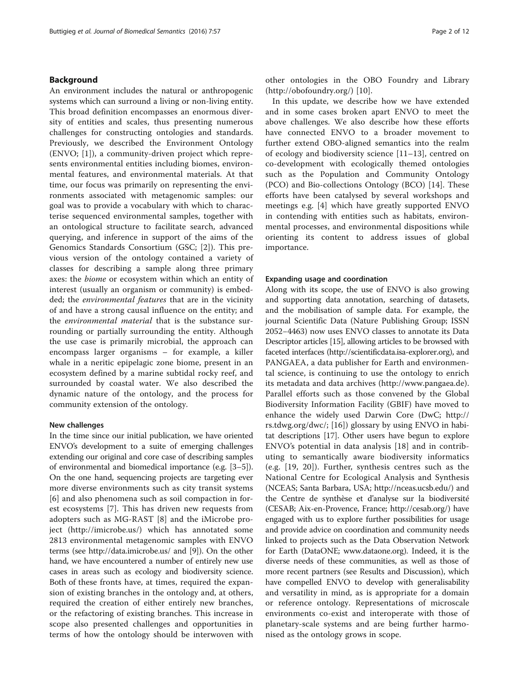## Background

An environment includes the natural or anthropogenic systems which can surround a living or non-living entity. This broad definition encompasses an enormous diversity of entities and scales, thus presenting numerous challenges for constructing ontologies and standards. Previously, we described the Environment Ontology (ENVO; [[1](#page-9-0)]), a community-driven project which represents environmental entities including biomes, environmental features, and environmental materials. At that time, our focus was primarily on representing the environments associated with metagenomic samples: our goal was to provide a vocabulary with which to characterise sequenced environmental samples, together with an ontological structure to facilitate search, advanced querying, and inference in support of the aims of the Genomics Standards Consortium (GSC; [\[2](#page-9-0)]). This previous version of the ontology contained a variety of classes for describing a sample along three primary axes: the biome or ecosystem within which an entity of interest (usually an organism or community) is embedded; the environmental features that are in the vicinity of and have a strong causal influence on the entity; and the environmental material that is the substance surrounding or partially surrounding the entity. Although the use case is primarily microbial, the approach can encompass larger organisms – for example, a killer whale in a neritic epipelagic zone biome, present in an ecosystem defined by a marine subtidal rocky reef, and surrounded by coastal water. We also described the dynamic nature of the ontology, and the process for community extension of the ontology.

#### New challenges

In the time since our initial publication, we have oriented ENVO's development to a suite of emerging challenges extending our original and core case of describing samples of environmental and biomedical importance (e.g. [[3](#page-9-0)–[5](#page-9-0)]). On the one hand, sequencing projects are targeting ever more diverse environments such as city transit systems [[6\]](#page-9-0) and also phenomena such as soil compaction in forest ecosystems [[7\]](#page-9-0). This has driven new requests from adopters such as MG-RAST [[8\]](#page-9-0) and the iMicrobe project [\(http://imicrobe.us/\)](http://imicrobe.us/) which has annotated some 2813 environmental metagenomic samples with ENVO terms (see<http://data.imicrobe.us/> and [[9](#page-10-0)]). On the other hand, we have encountered a number of entirely new use cases in areas such as ecology and biodiversity science. Both of these fronts have, at times, required the expansion of existing branches in the ontology and, at others, required the creation of either entirely new branches, or the refactoring of existing branches. This increase in scope also presented challenges and opportunities in terms of how the ontology should be interwoven with other ontologies in the OBO Foundry and Library ([http://obofoundry.org/\)](http://obofoundry.org/) [\[10](#page-10-0)].

In this update, we describe how we have extended and in some cases broken apart ENVO to meet the above challenges. We also describe how these efforts have connected ENVO to a broader movement to further extend OBO-aligned semantics into the realm of ecology and biodiversity science [\[11](#page-10-0)–[13](#page-10-0)], centred on co-development with ecologically themed ontologies such as the Population and Community Ontology (PCO) and Bio-collections Ontology (BCO) [[14\]](#page-10-0). These efforts have been catalysed by several workshops and meetings e.g. [[4\]](#page-9-0) which have greatly supported ENVO in contending with entities such as habitats, environmental processes, and environmental dispositions while orienting its content to address issues of global importance.

#### Expanding usage and coordination

Along with its scope, the use of ENVO is also growing and supporting data annotation, searching of datasets, and the mobilisation of sample data. For example, the journal Scientific Data (Nature Publishing Group; ISSN 2052−4463) now uses ENVO classes to annotate its Data Descriptor articles [[15\]](#page-10-0), allowing articles to be browsed with faceted interfaces [\(http://scientificdata.isa-explorer.org](http://scientificdata.isa-explorer.org)), and PANGAEA, a data publisher for Earth and environmental science, is continuing to use the ontology to enrich its metadata and data archives (<http://www.pangaea.de>). Parallel efforts such as those convened by the Global Biodiversity Information Facility (GBIF) have moved to enhance the widely used Darwin Core (DwC; [http://](http://rs.tdwg.org/dwc/) [rs.tdwg.org/dwc/;](http://rs.tdwg.org/dwc/) [\[16](#page-10-0)]) glossary by using ENVO in habitat descriptions [[17](#page-10-0)]. Other users have begun to explore ENVO's potential in data analysis [[18](#page-10-0)] and in contributing to semantically aware biodiversity informatics (e.g. [\[19](#page-10-0), [20\]](#page-10-0)). Further, synthesis centres such as the National Centre for Ecological Analysis and Synthesis (NCEAS; Santa Barbara, USA; [http://nceas.ucsb.edu/\)](http://nceas.ucsb.edu/) and the Centre de synthèse et d'analyse sur la biodiversité (CESAB; Aix-en-Provence, France; [http://cesab.org/\)](http://cesab.org/) have engaged with us to explore further possibilities for usage and provide advice on coordination and community needs linked to projects such as the Data Observation Network for Earth (DataONE; [www.dataone.org](http://www.dataone.org)). Indeed, it is the diverse needs of these communities, as well as those of more recent partners (see [Results and Discussion](#page-2-0)), which have compelled ENVO to develop with generalisability and versatility in mind, as is appropriate for a domain or reference ontology. Representations of microscale environments co-exist and interoperate with those of planetary-scale systems and are being further harmonised as the ontology grows in scope.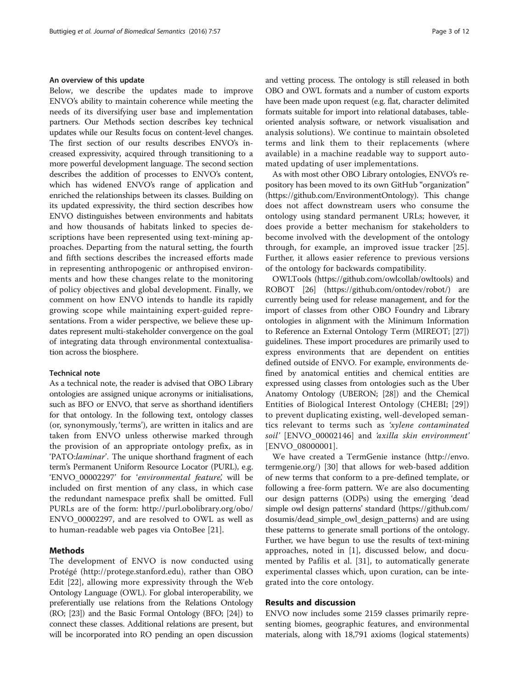#### <span id="page-2-0"></span>An overview of this update

Below, we describe the updates made to improve ENVO's ability to maintain coherence while meeting the needs of its diversifying user base and implementation partners. Our Methods section describes key technical updates while our Results focus on content-level changes. The first section of our results describes ENVO's increased expressivity, acquired through transitioning to a more powerful development language. The second section describes the addition of processes to ENVO's content, which has widened ENVO's range of application and enriched the relationships between its classes. Building on its updated expressivity, the third section describes how ENVO distinguishes between environments and habitats and how thousands of habitats linked to species descriptions have been represented using text-mining approaches. Departing from the natural setting, the fourth and fifth sections describes the increased efforts made in representing anthropogenic or anthropised environments and how these changes relate to the monitoring of policy objectives and global development. Finally, we comment on how ENVO intends to handle its rapidly growing scope while maintaining expert-guided representations. From a wider perspective, we believe these updates represent multi-stakeholder convergence on the goal of integrating data through environmental contextualisation across the biosphere.

## Technical note

As a technical note, the reader is advised that OBO Library ontologies are assigned unique acronyms or initialisations, such as BFO or ENVO, that serve as shorthand identifiers for that ontology. In the following text, ontology classes (or, synonymously, 'terms'), are written in italics and are taken from ENVO unless otherwise marked through the provision of an appropriate ontology prefix, as in 'PATO:laminar'. The unique shorthand fragment of each term's Permanent Uniform Resource Locator (PURL), e.g. 'ENVO\_00002297' for 'environmental feature', will be included on first mention of any class, in which case the redundant namespace prefix shall be omitted. Full PURLs are of the form: [http://purl.obolibrary.org/obo/](http://purl.obolibrary.org/obo/ENVO_00002297) [ENVO\\_00002297](http://purl.obolibrary.org/obo/ENVO_00002297), and are resolved to OWL as well as to human-readable web pages via OntoBee [[21\]](#page-10-0).

## Methods

The development of ENVO is now conducted using Protégé ([http://protege.stanford.edu\)](http://protege.stanford.edu), rather than OBO Edit [[22\]](#page-10-0), allowing more expressivity through the Web Ontology Language (OWL). For global interoperability, we preferentially use relations from the Relations Ontology (RO; [\[23\]](#page-10-0)) and the Basic Formal Ontology (BFO; [\[24\]](#page-10-0)) to connect these classes. Additional relations are present, but will be incorporated into RO pending an open discussion and vetting process. The ontology is still released in both OBO and OWL formats and a number of custom exports have been made upon request (e.g. flat, character delimited formats suitable for import into relational databases, tableoriented analysis software, or network visualisation and analysis solutions). We continue to maintain obsoleted terms and link them to their replacements (where available) in a machine readable way to support automated updating of user implementations.

As with most other OBO Library ontologies, ENVO's repository has been moved to its own GitHub "organization" (<https://github.com/EnvironmentOntology>). This change does not affect downstream users who consume the ontology using standard permanent URLs; however, it does provide a better mechanism for stakeholders to become involved with the development of the ontology through, for example, an improved issue tracker [\[25](#page-10-0)]. Further, it allows easier reference to previous versions of the ontology for backwards compatibility.

OWLTools [\(https://github.com/owlcollab/owltools\)](https://github.com/owlcollab/owltools) and ROBOT [\[26\]](#page-10-0) [\(https://github.com/ontodev/robot/](https://github.com/ontodev/robot/)) are currently being used for release management, and for the import of classes from other OBO Foundry and Library ontologies in alignment with the Minimum Information to Reference an External Ontology Term (MIREOT; [[27](#page-10-0)]) guidelines. These import procedures are primarily used to express environments that are dependent on entities defined outside of ENVO. For example, environments defined by anatomical entities and chemical entities are expressed using classes from ontologies such as the Uber Anatomy Ontology (UBERON; [\[28\]](#page-10-0)) and the Chemical Entities of Biological Interest Ontology (CHEBI; [[29](#page-10-0)]) to prevent duplicating existing, well-developed semantics relevant to terms such as 'xylene contaminated soil' [ENVO\_00002146] and 'axilla skin environment' [ENVO\_08000001].

We have created a TermGenie instance ([http://envo.](http://envo.termgenie.org/) [termgenie.org/\)](http://envo.termgenie.org/) [\[30](#page-10-0)] that allows for web-based addition of new terms that conform to a pre-defined template, or following a free-form pattern. We are also documenting our design patterns (ODPs) using the emerging 'dead simple owl design patterns' standard ([https://github.com/](https://github.com/dosumis/dead_simple_owl_design_patterns) [dosumis/dead\\_simple\\_owl\\_design\\_patterns](https://github.com/dosumis/dead_simple_owl_design_patterns)) and are using these patterns to generate small portions of the ontology. Further, we have begun to use the results of text-mining approaches, noted in [[1\]](#page-9-0), discussed below, and documented by Pafilis et al. [\[31](#page-10-0)], to automatically generate experimental classes which, upon curation, can be integrated into the core ontology.

## Results and discussion

ENVO now includes some 2159 classes primarily representing biomes, geographic features, and environmental materials, along with 18,791 axioms (logical statements)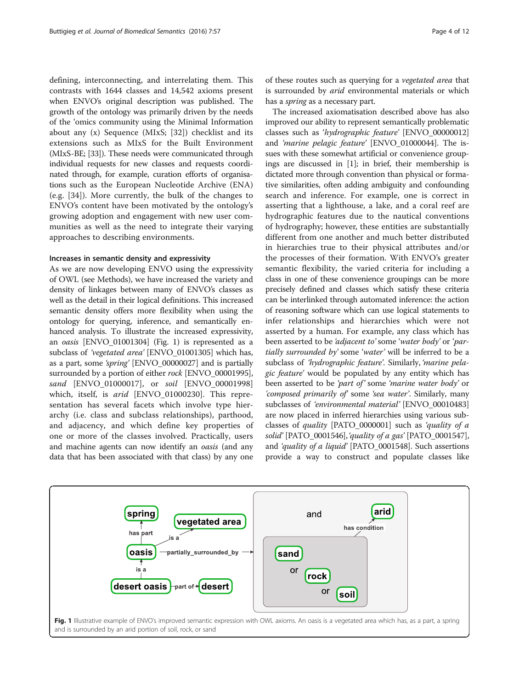defining, interconnecting, and interrelating them. This contrasts with 1644 classes and 14,542 axioms present when ENVO's original description was published. The growth of the ontology was primarily driven by the needs of the 'omics community using the Minimal Information about any (x) Sequence (MIxS; [\[32](#page-10-0)]) checklist and its extensions such as MIxS for the Built Environment (MIxS-BE; [[33](#page-10-0)]). These needs were communicated through individual requests for new classes and requests coordinated through, for example, curation efforts of organisations such as the European Nucleotide Archive (ENA) (e.g. [\[34](#page-10-0)]). More currently, the bulk of the changes to ENVO's content have been motivated by the ontology's growing adoption and engagement with new user communities as well as the need to integrate their varying approaches to describing environments.

#### Increases in semantic density and expressivity

As we are now developing ENVO using the expressivity of OWL (see [Methods](#page-2-0)), we have increased the variety and density of linkages between many of ENVO's classes as well as the detail in their logical definitions. This increased semantic density offers more flexibility when using the ontology for querying, inference, and semantically enhanced analysis. To illustrate the increased expressivity, an oasis [ENVO\_01001304] (Fig. 1) is represented as a subclass of 'vegetated area' [ENVO\_01001305] which has, as a part, some 'spring' [ENVO\_00000027] and is partially surrounded by a portion of either rock [ENVO\_00001995], sand [ENVO\_01000017], or soil [ENVO\_00001998] which, itself, is arid [ENVO\_01000230]. This representation has several facets which involve type hierarchy (i.e. class and subclass relationships), parthood, and adjacency, and which define key properties of one or more of the classes involved. Practically, users and machine agents can now identify an *oasis* (and any data that has been associated with that class) by any one

of these routes such as querying for a vegetated area that is surrounded by *arid* environmental materials or which has a spring as a necessary part.

The increased axiomatisation described above has also improved our ability to represent semantically problematic classes such as 'hydrographic feature' [ENVO\_00000012] and 'marine pelagic feature' [ENVO\_01000044]. The issues with these somewhat artificial or convenience groupings are discussed in [\[1](#page-9-0)]; in brief, their membership is dictated more through convention than physical or formative similarities, often adding ambiguity and confounding search and inference. For example, one is correct in asserting that a lighthouse, a lake, and a coral reef are hydrographic features due to the nautical conventions of hydrography; however, these entities are substantially different from one another and much better distributed in hierarchies true to their physical attributes and/or the processes of their formation. With ENVO's greater semantic flexibility, the varied criteria for including a class in one of these convenience groupings can be more precisely defined and classes which satisfy these criteria can be interlinked through automated inference: the action of reasoning software which can use logical statements to infer relationships and hierarchies which were not asserted by a human. For example, any class which has been asserted to be 'adjacent to' some 'water body' or 'partially surrounded by' some 'water' will be inferred to be a subclass of 'hydrographic feature'. Similarly, 'marine pelagic feature' would be populated by any entity which has been asserted to be 'part of' some 'marine water body' or 'composed primarily of' some 'sea water'. Similarly, many subclasses of 'environmental material' [ENVO\_00010483] are now placed in inferred hierarchies using various subclasses of quality [PATO\_0000001] such as 'quality of a solid' [PATO\_0001546],'quality of a gas' [PATO\_0001547], and 'quality of a liquid' [PATO\_0001548]. Such assertions provide a way to construct and populate classes like

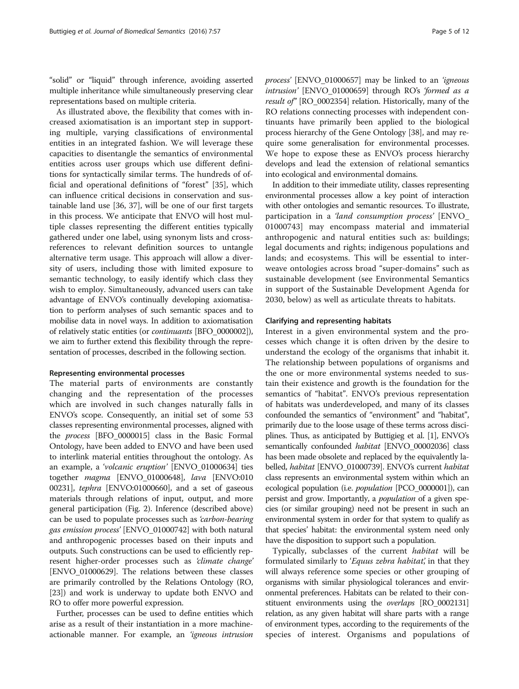"solid" or "liquid" through inference, avoiding asserted multiple inheritance while simultaneously preserving clear representations based on multiple criteria.

As illustrated above, the flexibility that comes with increased axiomatisation is an important step in supporting multiple, varying classifications of environmental entities in an integrated fashion. We will leverage these capacities to disentangle the semantics of environmental entities across user groups which use different definitions for syntactically similar terms. The hundreds of official and operational definitions of "forest" [[35\]](#page-10-0), which can influence critical decisions in conservation and sustainable land use [[36, 37\]](#page-10-0), will be one of our first targets in this process. We anticipate that ENVO will host multiple classes representing the different entities typically gathered under one label, using synonym lists and crossreferences to relevant definition sources to untangle alternative term usage. This approach will allow a diversity of users, including those with limited exposure to semantic technology, to easily identify which class they wish to employ. Simultaneously, advanced users can take advantage of ENVO's continually developing axiomatisation to perform analyses of such semantic spaces and to mobilise data in novel ways. In addition to axiomatisation of relatively static entities (or continuants [BFO\_0000002]), we aim to further extend this flexibility through the representation of processes, described in the following section.

#### Representing environmental processes

The material parts of environments are constantly changing and the representation of the processes which are involved in such changes naturally falls in ENVO's scope. Consequently, an initial set of some 53 classes representing environmental processes, aligned with the process [BFO\_0000015] class in the Basic Formal Ontology, have been added to ENVO and have been used to interlink material entities throughout the ontology. As an example, a 'volcanic eruption' [ENVO\_01000634] ties together magma [ENVO\_01000648], lava [ENVO:010 00231], tephra [ENVO:01000660], and a set of gaseous materials through relations of input, output, and more general participation (Fig. [2\)](#page-5-0). Inference (described above) can be used to populate processes such as 'carbon-bearing' gas emission process' [ENVO\_01000742] with both natural and anthropogenic processes based on their inputs and outputs. Such constructions can be used to efficiently represent higher-order processes such as *climate change* [ENVO\_01000629]. The relations between these classes are primarily controlled by the Relations Ontology (RO, [[23](#page-10-0)]) and work is underway to update both ENVO and RO to offer more powerful expression.

Further, processes can be used to define entities which arise as a result of their instantiation in a more machineactionable manner. For example, an 'igneous intrusion process' [ENVO\_01000657] may be linked to an 'igneous intrusion' [ENVO\_01000659] through RO's 'formed as a result of" [RO\_0002354] relation. Historically, many of the RO relations connecting processes with independent continuants have primarily been applied to the biological process hierarchy of the Gene Ontology [[38](#page-10-0)], and may require some generalisation for environmental processes. We hope to expose these as ENVO's process hierarchy develops and lead the extension of relational semantics into ecological and environmental domains.

In addition to their immediate utility, classes representing environmental processes allow a key point of interaction with other ontologies and semantic resources. To illustrate, participation in a 'land consumption process' [ENVO\_ 01000743] may encompass material and immaterial anthropogenic and natural entities such as: buildings; legal documents and rights; indigenous populations and lands; and ecosystems. This will be essential to interweave ontologies across broad "super-domains" such as sustainable development (see Environmental Semantics in support of the Sustainable Development Agenda for 2030, below) as well as articulate threats to habitats.

#### Clarifying and representing habitats

Interest in a given environmental system and the processes which change it is often driven by the desire to understand the ecology of the organisms that inhabit it. The relationship between populations of organisms and the one or more environmental systems needed to sustain their existence and growth is the foundation for the semantics of "habitat". ENVO's previous representation of habitats was underdeveloped, and many of its classes confounded the semantics of "environment" and "habitat", primarily due to the loose usage of these terms across disciplines. Thus, as anticipated by Buttigieg et al. [[1](#page-9-0)], ENVO's semantically confounded habitat [ENVO\_00002036] class has been made obsolete and replaced by the equivalently labelled, habitat [ENVO\_01000739]. ENVO's current habitat class represents an environmental system within which an ecological population (i.e. *population* [PCO\_0000001]), can persist and grow. Importantly, a population of a given species (or similar grouping) need not be present in such an environmental system in order for that system to qualify as that species' habitat: the environmental system need only have the disposition to support such a population.

Typically, subclasses of the current habitat will be formulated similarly to '*Equus zebra habitat*', in that they will always reference some species or other grouping of organisms with similar physiological tolerances and environmental preferences. Habitats can be related to their constituent environments using the *overlaps* [RO\_0002131] relation, as any given habitat will share parts with a range of environment types, according to the requirements of the species of interest. Organisms and populations of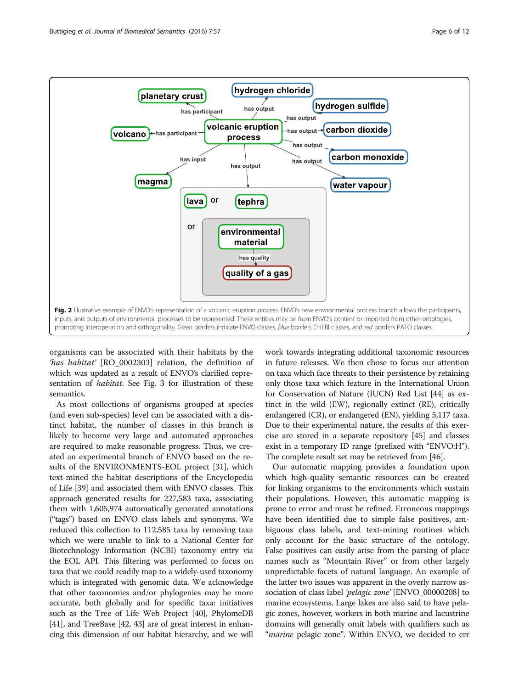<span id="page-5-0"></span>

organisms can be associated with their habitats by the 'has habitat' [RO\_0002303] relation, the definition of which was updated as a result of ENVO's clarified representation of habitat. See Fig. [3](#page-6-0) for illustration of these semantics.

As most collections of organisms grouped at species (and even sub-species) level can be associated with a distinct habitat, the number of classes in this branch is likely to become very large and automated approaches are required to make reasonable progress. Thus, we created an experimental branch of ENVO based on the results of the ENVIRONMENTS-EOL project [\[31](#page-10-0)], which text-mined the habitat descriptions of the Encyclopedia of Life [[39](#page-10-0)] and associated them with ENVO classes. This approach generated results for 227,583 taxa, associating them with 1,605,974 automatically generated annotations ("tags") based on ENVO class labels and synonyms. We reduced this collection to 112,585 taxa by removing taxa which we were unable to link to a National Center for Biotechnology Information (NCBI) taxonomy entry via the EOL API. This filtering was performed to focus on taxa that we could readily map to a widely-used taxonomy which is integrated with genomic data. We acknowledge that other taxonomies and/or phylogenies may be more accurate, both globally and for specific taxa: initiatives such as the Tree of Life Web Project [\[40](#page-10-0)], PhylomeDB [[41](#page-10-0)], and TreeBase [[42](#page-10-0), [43](#page-10-0)] are of great interest in enhancing this dimension of our habitat hierarchy, and we will

work towards integrating additional taxonomic resources in future releases. We then chose to focus our attention on taxa which face threats to their persistence by retaining only those taxa which feature in the International Union for Conservation of Nature (IUCN) Red List [\[44\]](#page-10-0) as extinct in the wild (EW), regionally extinct (RE), critically endangered (CR), or endangered (EN), yielding 5,117 taxa. Due to their experimental nature, the results of this exercise are stored in a separate repository [[45](#page-10-0)] and classes exist in a temporary ID range (prefixed with "ENVO:H"). The complete result set may be retrieved from [\[46\]](#page-10-0).

Our automatic mapping provides a foundation upon which high-quality semantic resources can be created for linking organisms to the environments which sustain their populations. However, this automatic mapping is prone to error and must be refined. Erroneous mappings have been identified due to simple false positives, ambiguous class labels, and text-mining routines which only account for the basic structure of the ontology. False positives can easily arise from the parsing of place names such as "Mountain River" or from other largely unpredictable facets of natural language. An example of the latter two issues was apparent in the overly narrow association of class label 'pelagic zone' [ENVO\_00000208] to marine ecosystems. Large lakes are also said to have pelagic zones, however, workers in both marine and lacustrine domains will generally omit labels with qualifiers such as "*marine* pelagic zone". Within ENVO, we decided to err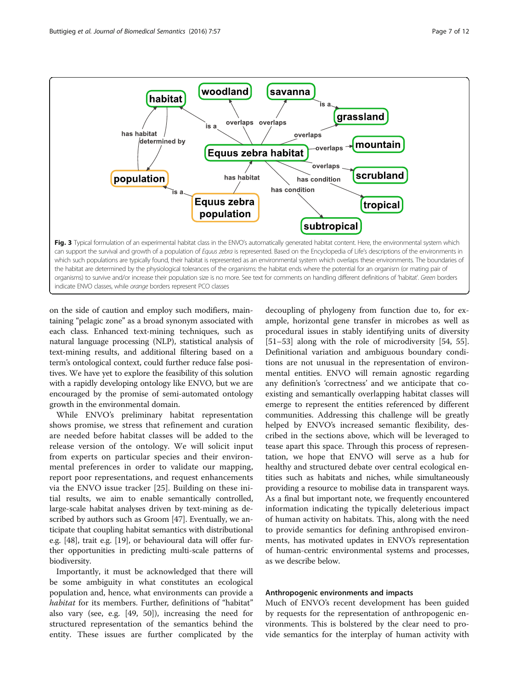<span id="page-6-0"></span>

on the side of caution and employ such modifiers, maintaining "pelagic zone" as a broad synonym associated with each class. Enhanced text-mining techniques, such as natural language processing (NLP), statistical analysis of text-mining results, and additional filtering based on a term's ontological context, could further reduce false positives. We have yet to explore the feasibility of this solution with a rapidly developing ontology like ENVO, but we are encouraged by the promise of semi-automated ontology growth in the environmental domain.

While ENVO's preliminary habitat representation shows promise, we stress that refinement and curation are needed before habitat classes will be added to the release version of the ontology. We will solicit input from experts on particular species and their environmental preferences in order to validate our mapping, report poor representations, and request enhancements via the ENVO issue tracker [[25\]](#page-10-0). Building on these initial results, we aim to enable semantically controlled, large-scale habitat analyses driven by text-mining as described by authors such as Groom [[47\]](#page-10-0). Eventually, we anticipate that coupling habitat semantics with distributional e.g. [\[48](#page-10-0)], trait e.g. [[19](#page-10-0)], or behavioural data will offer further opportunities in predicting multi-scale patterns of biodiversity.

Importantly, it must be acknowledged that there will be some ambiguity in what constitutes an ecological population and, hence, what environments can provide a habitat for its members. Further, definitions of "habitat" also vary (see, e.g. [[49](#page-10-0), [50](#page-10-0)]), increasing the need for structured representation of the semantics behind the entity. These issues are further complicated by the

decoupling of phylogeny from function due to, for example, horizontal gene transfer in microbes as well as procedural issues in stably identifying units of diversity [[51](#page-10-0)–[53](#page-11-0)] along with the role of microdiversity [[54, 55](#page-11-0)]. Definitional variation and ambiguous boundary conditions are not unusual in the representation of environmental entities. ENVO will remain agnostic regarding any definition's 'correctness' and we anticipate that coexisting and semantically overlapping habitat classes will emerge to represent the entities referenced by different communities. Addressing this challenge will be greatly helped by ENVO's increased semantic flexibility, described in the sections above, which will be leveraged to tease apart this space. Through this process of representation, we hope that ENVO will serve as a hub for healthy and structured debate over central ecological entities such as habitats and niches, while simultaneously providing a resource to mobilise data in transparent ways. As a final but important note, we frequently encountered information indicating the typically deleterious impact of human activity on habitats. This, along with the need to provide semantics for defining anthropised environments, has motivated updates in ENVO's representation of human-centric environmental systems and processes, as we describe below.

#### Anthropogenic environments and impacts

Much of ENVO's recent development has been guided by requests for the representation of anthropogenic environments. This is bolstered by the clear need to provide semantics for the interplay of human activity with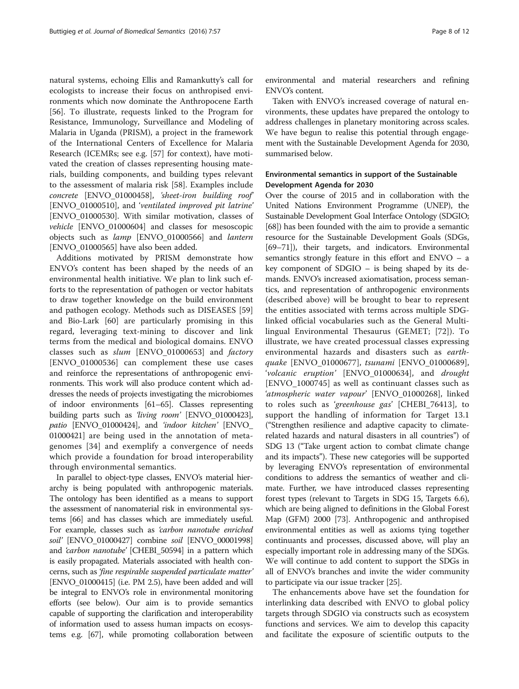natural systems, echoing Ellis and Ramankutty's call for ecologists to increase their focus on anthropised environments which now dominate the Anthropocene Earth [[56\]](#page-11-0). To illustrate, requests linked to the Program for Resistance, Immunology, Surveillance and Modeling of Malaria in Uganda (PRISM), a project in the framework of the International Centers of Excellence for Malaria Research (ICEMRs; see e.g. [[57](#page-11-0)] for context), have motivated the creation of classes representing housing materials, building components, and building types relevant to the assessment of malaria risk [[58\]](#page-11-0). Examples include concrete [ENVO\_01000458], 'sheet-iron building roof' [ENVO\_01000510], and 'ventilated improved pit latrine' [ENVO\_01000530]. With similar motivation, classes of vehicle [ENVO\_01000604] and classes for mesoscopic objects such as lamp [ENVO\_01000566] and lantern [ENVO\_01000565] have also been added.

Additions motivated by PRISM demonstrate how ENVO's content has been shaped by the needs of an environmental health initiative. We plan to link such efforts to the representation of pathogen or vector habitats to draw together knowledge on the build environment and pathogen ecology. Methods such as DISEASES [[59](#page-11-0)] and Bio-Lark [\[60](#page-11-0)] are particularly promising in this regard, leveraging text-mining to discover and link terms from the medical and biological domains. ENVO classes such as slum [ENVO\_01000653] and factory [ENVO\_01000536] can complement these use cases and reinforce the representations of anthropogenic environments. This work will also produce content which addresses the needs of projects investigating the microbiomes of indoor environments [\[61](#page-11-0)–[65\]](#page-11-0). Classes representing building parts such as 'living room' [ENVO\_01000423], patio [ENVO\_01000424], and 'indoor kitchen' [ENVO\_ 01000421] are being used in the annotation of metagenomes [[34](#page-10-0)] and exemplify a convergence of needs which provide a foundation for broad interoperability through environmental semantics.

In parallel to object-type classes, ENVO's material hierarchy is being populated with anthropogenic materials. The ontology has been identified as a means to support the assessment of nanomaterial risk in environmental systems [\[66\]](#page-11-0) and has classes which are immediately useful. For example, classes such as 'carbon nanotube enriched soil' [ENVO\_01000427] combine soil [ENVO\_00001998] and 'carbon nanotube' [CHEBI\_50594] in a pattern which is easily propagated. Materials associated with health concerns, such as 'fine respirable suspended particulate matter' [ENVO\_01000415] (i.e. PM 2.5), have been added and will be integral to ENVO's role in environmental monitoring efforts (see below). Our aim is to provide semantics capable of supporting the clarification and interoperability of information used to assess human impacts on ecosystems e.g. [\[67](#page-11-0)], while promoting collaboration between

environmental and material researchers and refining ENVO's content.

Taken with ENVO's increased coverage of natural environments, these updates have prepared the ontology to address challenges in planetary monitoring across scales. We have begun to realise this potential through engagement with the Sustainable Development Agenda for 2030, summarised below.

## Environmental semantics in support of the Sustainable Development Agenda for 2030

Over the course of 2015 and in collaboration with the United Nations Environment Programme (UNEP), the Sustainable Development Goal Interface Ontology (SDGIO; [[68](#page-11-0)]) has been founded with the aim to provide a semantic resource for the Sustainable Development Goals (SDGs, [[69](#page-11-0)–[71\]](#page-11-0)), their targets, and indicators. Environmental semantics strongly feature in this effort and ENVO – a key component of SDGIO – is being shaped by its demands. ENVO's increased axiomatisation, process semantics, and representation of anthropogenic environments (described above) will be brought to bear to represent the entities associated with terms across multiple SDGlinked official vocabularies such as the General Multilingual Environmental Thesaurus (GEMET; [[72\]](#page-11-0)). To illustrate, we have created processual classes expressing environmental hazards and disasters such as earthquake [ENVO\_01000677], tsunami [ENVO\_01000689], 'volcanic eruption' [ENVO\_01000634], and drought [ENVO\_1000745] as well as continuant classes such as 'atmospheric water vapour' [ENVO\_01000268], linked to roles such as 'greenhouse gas' [CHEBI\_76413], to support the handling of information for Target 13.1 ("Strengthen resilience and adaptive capacity to climaterelated hazards and natural disasters in all countries") of SDG 13 ("Take urgent action to combat climate change and its impacts"). These new categories will be supported by leveraging ENVO's representation of environmental conditions to address the semantics of weather and climate. Further, we have introduced classes representing forest types (relevant to Targets in SDG 15, Targets 6.6), which are being aligned to definitions in the Global Forest Map (GFM) 2000 [\[73\]](#page-11-0). Anthropogenic and anthropised environmental entities as well as axioms tying together continuants and processes, discussed above, will play an especially important role in addressing many of the SDGs. We will continue to add content to support the SDGs in all of ENVO's branches and invite the wider community to participate via our issue tracker [\[25](#page-10-0)].

The enhancements above have set the foundation for interlinking data described with ENVO to global policy targets through SDGIO via constructs such as ecosystem functions and services. We aim to develop this capacity and facilitate the exposure of scientific outputs to the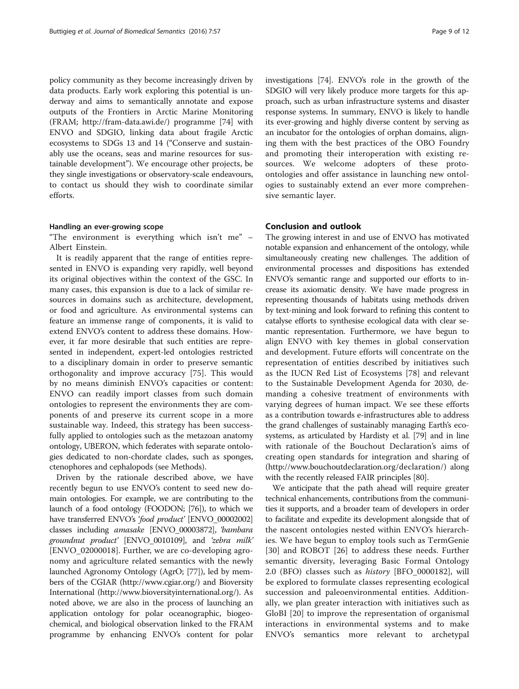policy community as they become increasingly driven by data products. Early work exploring this potential is underway and aims to semantically annotate and expose outputs of the Frontiers in Arctic Marine Monitoring (FRAM; [http://fram-data.awi.de/\)](http://fram-data.awi.de/) programme [[74\]](#page-11-0) with ENVO and SDGIO, linking data about fragile Arctic ecosystems to SDGs 13 and 14 ("Conserve and sustainably use the oceans, seas and marine resources for sustainable development"). We encourage other projects, be they single investigations or observatory-scale endeavours, to contact us should they wish to coordinate similar efforts.

#### Handling an ever-growing scope

"The environment is everything which isn't me" – Albert Einstein.

It is readily apparent that the range of entities represented in ENVO is expanding very rapidly, well beyond its original objectives within the context of the GSC. In many cases, this expansion is due to a lack of similar resources in domains such as architecture, development, or food and agriculture. As environmental systems can feature an immense range of components, it is valid to extend ENVO's content to address these domains. However, it far more desirable that such entities are represented in independent, expert-led ontologies restricted to a disciplinary domain in order to preserve semantic orthogonality and improve accuracy [\[75](#page-11-0)]. This would by no means diminish ENVO's capacities or content: ENVO can readily import classes from such domain ontologies to represent the environments they are components of and preserve its current scope in a more sustainable way. Indeed, this strategy has been successfully applied to ontologies such as the metazoan anatomy ontology, UBERON, which federates with separate ontologies dedicated to non-chordate clades, such as sponges, ctenophores and cephalopods (see [Methods\)](#page-2-0).

Driven by the rationale described above, we have recently begun to use ENVO's content to seed new domain ontologies. For example, we are contributing to the launch of a food ontology (FOODON; [\[76\]](#page-11-0)), to which we have transferred ENVO's 'food product' [ENVO\_00002002] classes including amasake [ENVO\_00003872], 'bambara groundnut product' [ENVO\_0010109], and 'zebra milk' [ENVO\_02000018]. Further, we are co-developing agronomy and agriculture related semantics with the newly launched Agronomy Ontology (AgrO; [\[77](#page-11-0)]), led by members of the CGIAR (<http://www.cgiar.org/>) and Bioversity International [\(http://www.bioversityinternational.org/](http://www.bioversityinternational.org/)). As noted above, we are also in the process of launching an application ontology for polar oceanographic, biogeochemical, and biological observation linked to the FRAM programme by enhancing ENVO's content for polar investigations [[74](#page-11-0)]. ENVO's role in the growth of the SDGIO will very likely produce more targets for this approach, such as urban infrastructure systems and disaster response systems. In summary, ENVO is likely to handle its ever-growing and highly diverse content by serving as an incubator for the ontologies of orphan domains, aligning them with the best practices of the OBO Foundry and promoting their interoperation with existing resources. We welcome adopters of these protoontologies and offer assistance in launching new ontologies to sustainably extend an ever more comprehensive semantic layer.

#### Conclusion and outlook

The growing interest in and use of ENVO has motivated notable expansion and enhancement of the ontology, while simultaneously creating new challenges. The addition of environmental processes and dispositions has extended ENVO's semantic range and supported our efforts to increase its axiomatic density. We have made progress in representing thousands of habitats using methods driven by text-mining and look forward to refining this content to catalyse efforts to synthesise ecological data with clear semantic representation. Furthermore, we have begun to align ENVO with key themes in global conservation and development. Future efforts will concentrate on the representation of entities described by initiatives such as the IUCN Red List of Ecosystems [[78\]](#page-11-0) and relevant to the Sustainable Development Agenda for 2030, demanding a cohesive treatment of environments with varying degrees of human impact. We see these efforts as a contribution towards e-infrastructures able to address the grand challenges of sustainably managing Earth's ecosystems, as articulated by Hardisty et al. [\[79\]](#page-11-0) and in line with rationale of the Bouchout Declaration's aims of creating open standards for integration and sharing of (<http://www.bouchoutdeclaration.org/declaration/>) along with the recently released FAIR principles [\[80\]](#page-11-0).

We anticipate that the path ahead will require greater technical enhancements, contributions from the communities it supports, and a broader team of developers in order to facilitate and expedite its development alongside that of the nascent ontologies nested within ENVO's hierarchies. We have begun to employ tools such as TermGenie [[30\]](#page-10-0) and ROBOT [\[26](#page-10-0)] to address these needs. Further semantic diversity, leveraging Basic Formal Ontology 2.0 (BFO) classes such as history [BFO\_0000182], will be explored to formulate classes representing ecological succession and paleoenvironmental entities. Additionally, we plan greater interaction with initiatives such as GloBI [[20\]](#page-10-0) to improve the representation of organismal interactions in environmental systems and to make ENVO's semantics more relevant to archetypal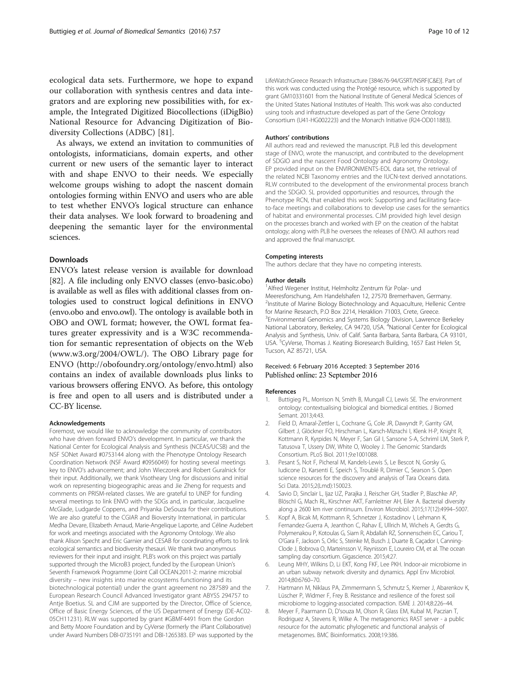<span id="page-9-0"></span>ecological data sets. Furthermore, we hope to expand our collaboration with synthesis centres and data integrators and are exploring new possibilities with, for example, the Integrated Digitized Biocollections (iDigBio) National Resource for Advancing Digitization of Biodiversity Collections (ADBC) [\[81](#page-11-0)].

As always, we extend an invitation to communities of ontologists, informaticians, domain experts, and other current or new users of the semantic layer to interact with and shape ENVO to their needs. We especially welcome groups wishing to adopt the nascent domain ontologies forming within ENVO and users who are able to test whether ENVO's logical structure can enhance their data analyses. We look forward to broadening and deepening the semantic layer for the environmental sciences.

### Downloads

ENVO's latest release version is available for download [[82\]](#page-11-0). A file including only ENVO classes (envo-basic.obo) is available as well as files with additional classes from ontologies used to construct logical definitions in ENVO (envo.obo and envo.owl). The ontology is available both in OBO and OWL format; however, the OWL format features greater expressivity and is a W3C recommendation for semantic representation of objects on the Web ([www.w3.org/2004/OWL/](http://www.w3.org/2004/OWL/)). The OBO Library page for ENVO [\(http://obofoundry.org/ontology/envo.html\)](http://obofoundry.org/ontology/envo.html) also contains an index of available downloads plus links to various browsers offering ENVO. As before, this ontology is free and open to all users and is distributed under a CC-BY license.

#### Acknowledgements

Foremost, we would like to acknowledge the community of contributors who have driven forward ENVO's development. In particular, we thank the National Center for Ecological Analysis and Synthesis (NCEAS/UCSB) and the NSF SONet Award #0753144 along with the Phenotype Ontology Research Coordination Network (NSF Award #0956049) for hosting several meetings key to ENVO's advancement; and John Wieczorek and Robert Guralnick for their input. Additionally, we thank Visotheary Ung for discussions and initial work on representing biogeographic areas and Jie Zheng for requests and comments on PRISM-related classes. We are grateful to UNEP for funding several meetings to link ENVO with the SDGs and, in particular, Jacqueline McGlade, Ludgarde Coppens, and Priyanka DeSouza for their contributions. We are also grateful to the CGIAR and Bioversity International, in particular Medha Devare, Elizabeth Arnaud, Marie-Angelique Laporte, and Céline Audebert for work and meetings associated with the Agronomy Ontology. We also thank Alison Specht and Eric Garnier and CESAB for coordinating efforts to link ecological semantics and biodiversity thesauri. We thank two anonymous reviewers for their input and insight. PLB's work on this project was partially supported through the MicroB3 project, funded by the European Union's Seventh Framework Programme (Joint Call OCEAN.2011-2: marine microbial diversity – new insights into marine ecosystems functioning and its biotechnological potential) under the grant agreement no 287589 and the European Research Council Advanced Investigator grant ABYSS 294757 to Antje Boetius. SL and CJM are supported by the Director, Office of Science, Office of Basic Energy Sciences, of the US Department of Energy (DE-AC02- 05CH11231). RLW was supported by grant #GBMF4491 from the Gordon and Betty Moore Foundation and by CyVerse (formerly the iPlant Collaborative) under Award Numbers DBI-0735191 and DBI-1265383. EP was supported by the LifeWatchGreece Research Infrastructure [384676-94/GSRT/NSRF(C&E)]. Part of this work was conducted using the Protégé resource, which is supported by grant GM10331601 from the National Institute of General Medical Sciences of the United States National Institutes of Health. This work was also conducted using tools and infrastructure developed as part of the Gene Ontology Consortium (U41-HG002223) and the Monarch Initiative (R24-OD011883).

#### Authors' contributions

All authors read and reviewed the manuscript. PLB led this development stage of ENVO, wrote the manuscript, and contributed to the development of SDGIO and the nascent Food Ontology and Agronomy Ontology. EP provided input on the ENVIRONMENTS-EOL data set, the retrieval of the related NCBI Taxonomy entries and the IUCN-text derived annotations. RLW contributed to the development of the environmental process branch and the SDGIO. SL provided opportunities and resources, through the Phenotype RCN, that enabled this work: Supporting and facilitating faceto-face meetings and collaborations to develop use cases for the semantics of habitat and environmental processes. CJM provided high level design on the processes branch and worked with EP on the creation of the habitat ontology; along with PLB he oversees the releases of ENVO. All authors read and approved the final manuscript.

#### Competing interests

The authors declare that they have no competing interests.

#### Author details

<sup>1</sup> Alfred Wegener Institut, Helmholtz Zentrum für Polar- und Meeresforschung, Am Handelshafen 12, 27570 Bremerhaven, Germany. <sup>2</sup>Institute of Marine Biology Biotechnology and Aquaculture, Hellenic Centre for Marine Research, P.O Box 2214, Heraklion 71003, Crete, Greece. <sup>3</sup> Environmental Genomics and Systems Biology Division, Lawrence Berkeley National Laboratory, Berkeley, CA 94720, USA. <sup>4</sup>National Center for Ecological Analysis and Synthesis, Univ. of Calif. Santa Barbara, Santa Barbara, CA 93101, USA. <sup>5</sup>CyVerse, Thomas J. Keating Bioresearch Building, 1657 East Helen St, Tucson, AZ 85721, USA.

#### Received: 6 February 2016 Accepted: 3 September 2016 Published online: 23 September 2016

#### References

- 1. Buttigieg PL, Morrison N, Smith B, Mungall CJ, Lewis SE. The environment ontology: contextualising biological and biomedical entities. J Biomed Semant. 2013;4:43.
- 2. Field D, Amaral-Zettler L, Cochrane G, Cole JR, Dawyndt P, Garrity GM, Gilbert J, Glöckner FO, Hirschman L, Karsch-Mizrachi I, Klenk H-P, Knight R, Kottmann R, Kyrpides N, Meyer F, San Gil I, Sansone S-A, Schriml LM, Sterk P, Tatusova T, Ussery DW, White O, Wooley J. The Genomic Standards Consortium. PLoS Biol. 2011;9:e1001088.
- 3. Pesant S, Not F, Picheral M, Kandels-Lewis S, Le Bescot N, Gorsky G, Iudicone D, Karsenti E, Speich S, Troublé R, Dimier C, Searson S. Open science resources for the discovery and analysis of Tara Oceans data. Sci Data. 2015;2(Lmd):150023.
- 4. Savio D, Sinclair L, Ijaz UZ, Parajka J, Reischer GH, Stadler P, Blaschke AP, Blöschl G, Mach RL, Kirschner AKT, Farnleitner AH, Eiler A. Bacterial diversity along a 2600 km river continuum. Environ Microbiol. 2015;17(12):4994–5007.
- 5. Kopf A, Bicak M, Kottmann R, Schnetzer J, Kostadinov I, Lehmann K, Fernandez-Guerra A, Jeanthon C, Rahav E, Ullrich M, Wichels A, Gerdts G, Polymenakou P, Kotoulas G, Siam R, Abdallah RZ, Sonnenschein EC, Cariou T, O'Gara F, Jackson S, Orlic S, Steinke M, Busch J, Duarte B, Caçador I, Canning-Clode J, Bobrova O, Marteinsson V, Reynisson E, Loureiro CM, et al. The ocean sampling day consortium. Gigascience. 2015;4:27.
- Leung MHY, Wilkins D, Li EKT, Kong FKF, Lee PKH. Indoor-air microbiome in an urban subway network: diversity and dynamics. Appl Env Microbiol. 2014;80:6760–70.
- 7. Hartmann M, Niklaus PA, Zimmermann S, Schmutz S, Kremer J, Abarenkov K, Lüscher P, Widmer F, Frey B. Resistance and resilience of the forest soil microbiome to logging-associated compaction. ISME J. 2014;8:226–44.
- 8. Meyer F, Paarmann D, D'souza M, Olson R, Glass EM, Kubal M, Paczian T, Rodriguez A, Stevens R, Wilke A. The metagenomics RAST server - a public resource for the automatic phylogenetic and functional analysis of metagenomes. BMC Bioinformatics. 2008;19:386.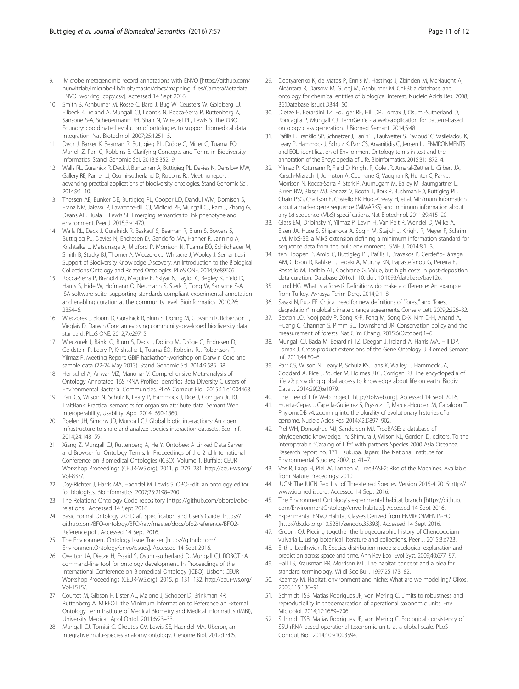- <span id="page-10-0"></span>9. iMicrobe metagenomic record annotations with ENVO [\[https://github.com/](https://github.com/hurwitzlab/imicrobe-lib/blob/master/docs/mapping_files/CameraMetadata_ENVO_working_copy.csv) [hurwitzlab/imicrobe-lib/blob/master/docs/mapping\\_files/CameraMetadata\\_](https://github.com/hurwitzlab/imicrobe-lib/blob/master/docs/mapping_files/CameraMetadata_ENVO_working_copy.csv) [ENVO\\_working\\_copy.csv\]](https://github.com/hurwitzlab/imicrobe-lib/blob/master/docs/mapping_files/CameraMetadata_ENVO_working_copy.csv). Accessed 14 Sept 2016.
- 10. Smith B, Ashburner M, Rosse C, Bard J, Bug W, Ceusters W, Goldberg LJ, Eilbeck K, Ireland A, Mungall CJ, Leontis N, Rocca-Serra P, Ruttenberg A, Sansone S-A, Scheuermann RH, Shah N, Whetzel PL, Lewis S. The OBO Foundry: coordinated evolution of ontologies to support biomedical data integration. Nat Biotechnol. 2007;25:1251–5.
- 11. Deck J, Barker K, Beaman R, Buttigieg PL, Dröge G, Miller C, Tuama ÉÓ, Murrell Z, Parr C, Robbins B. Clarifying Concepts and Terms in Biodiversity Informatics. Stand Genomic Sci. 2013;8:352–9.
- 12. Walls RL, Guralnick R, Deck J, Buntzman A, Buttigieg PL, Davies N, Denslow MW, Gallery RE, Parnell JJ, Osumi-sutherland D, Robbins RJ. Meeting report : advancing practical applications of biodiversity ontologies. Stand Genomic Sci. 2014;9:1–10.
- 13. Thessen AE, Bunker DE, Buttigieg PL, Cooper LD, Dahdul WM, Domisch S, Franz NM, Jaiswal P, Lawrence-dill CJ, Midford PE, Mungall CJ, Ram J, Zhang G, Deans AR, Huala E, Lewis SE. Emerging semantics to link phenotype and environment. Peer J. 2015;3:e1470.
- 14. Walls RL, Deck J, Guralnick R, Baskauf S, Beaman R, Blum S, Bowers S, Buttigieg PL, Davies N, Endresen D, Gandolfo MA, Hanner R, Janning A, Krishtalka L, Matsunaga A, Midford P, Morrison N, Tuama ÉÓ, Schildhauer M, Smith B, Stucky BJ, Thomer A, Wieczorek J, Whitacre J, Wooley J. Semantics in Support of Biodiversity Knowledge Discovery: An Introduction to the Biological Collections Ontology and Related Ontologies. PLoS ONE. 2014;9:e89606.
- 15. Rocca-Serra P, Brandizi M, Maguire E, Sklyar N, Taylor C, Begley K, Field D, Harris S, Hide W, Hofmann O, Neumann S, Sterk P, Tong W, Sansone S-A. ISA software suite: supporting standards-compliant experimental annotation and enabling curation at the community level. Bioinformatics. 2010;26: 2354–6.
- 16. Wieczorek J, Bloom D, Guralnick R, Blum S, Döring M, Giovanni R, Robertson T, Vieglais D. Darwin Core: an evolving community-developed biodiversity data standard. PLoS ONE. 2012;7:e29715.
- 17. Wieczorek J, Bánki O, Blum S, Deck J, Döring M, Dröge G, Endresen D, Goldstein P, Leary P, Krishtalka L, Tuama ÉÓ, Robbins RJ, Robertson T, Yilmaz P. Meeting Report: GBIF hackathon-workshop on Darwin Core and sample data (22-24 May 2013). Stand Genomic Sci. 2014;9:585–98.
- 18. Henschel A, Anwar MZ, Manohar V. Comprehensive Meta-analysis of Ontology Annotated 16S rRNA Profiles Identifies Beta Diversity Clusters of Environmental Bacterial Communities. PLoS Comput Biol. 2015;11:e1004468.
- 19. Parr CS, Wilson N, Schulz K, Leary P, Hammock J, Rice J, Corrigan Jr. RJ. TraitBank: Practical semantics for organism attribute data. Semant Web – Interoperability, Usability, Appl 2014, 650-1860.
- 20. Poelen JH, Simons JD, Mungall CJ. Global biotic interactions: An open infrastructure to share and analyze species-interaction datasets. Ecol Inf. 2014;24:148–59.
- 21. Xiang Z, Mungall CJ, Ruttenberg A, He Y. Ontobee: A Linked Data Server and Browser for Ontology Terms. In Proceedings of the 2nd International Conference on Biomedical Ontologies (ICBO). Volume 1. Buffalo: CEUR Workshop Proceedings (CEUR-WS.org); 2011. p. 279–281. [http://ceur-ws.org/](http://ceur-ws.org/Vol-833/) [Vol-833/](http://ceur-ws.org/Vol-833/).
- 22. Day-Richter J, Harris MA, Haendel M, Lewis S. OBO-Edit–an ontology editor for biologists. Bioinformatics. 2007;23:2198–200.
- The Relations Ontology Code repository [\[https://github.com/oborel/obo](https://github.com/oborel/obo-relations)[relations](https://github.com/oborel/obo-relations)]. Accessed 14 Sept 2016.
- 24. Basic Formal Ontology 2.0: Draft Specification and User's Guide [\[https://](https://github.com/BFO-ontology/BFO/raw/master/docs/bfo2-reference/BFO2-Reference.pdf) [github.com/BFO-ontology/BFO/raw/master/docs/bfo2-reference/BFO2-](https://github.com/BFO-ontology/BFO/raw/master/docs/bfo2-reference/BFO2-Reference.pdf) [Reference.pdf](https://github.com/BFO-ontology/BFO/raw/master/docs/bfo2-reference/BFO2-Reference.pdf)]. Accessed 14 Sept 2016.
- 25. The Environment Ontology Issue Tracker [[https://github.com/](https://github.com/EnvironmentOntology/envo/issues) [EnvironmentOntology/envo/issues](https://github.com/EnvironmentOntology/envo/issues)]. Accessed 14 Sept 2016.
- 26. Overton JA, Dietze H, Essaid S, Osumi-sutherland D, Mungall CJ. ROBOT : A command-line tool for ontology development. In Proceedings of the International Conference on Biomedical Ontology (ICBO). Lisbon: CEUR Workshop Proceedings (CEUR-WS.org); 2015. p. 131–132. [http://ceur-ws.org/](http://ceur-ws.org/Vol-1515/) Vol-1515/
- 27. Courtot M, Gibson F, Lister AL, Malone J, Schober D, Brinkman RR, Ruttenberg A. MIREOT: the Minimum Information to Reference an External Ontology Term Institute of Medical Biometry and Medical Informatics (IMBI), University Medical. Appl Ontol. 2011;6:23–33.
- 28. Mungall CJ, Torniai C, Gkoutos GV, Lewis SE, Haendel MA. Uberon, an integrative multi-species anatomy ontology. Genome Biol. 2012;13:R5.
- 29. Degtyarenko K, de Matos P, Ennis M, Hastings J, Zbinden M, McNaught A, Alcántara R, Darsow M, Guedj M, Ashburner M. ChEBI: a database and ontology for chemical entities of biological interest. Nucleic Acids Res. 2008; 36(Database issue):D344–50.
- 30. Dietze H, Berardini TZ, Foulger RE, Hill DP, Lomax J, Osumi-Sutherland D, Roncaglia P, Mungall CJ. TermGenie - a web-application for pattern-based ontology class generation. J Biomed Semant. 2014;5:48.
- 31. Pafilis E, Frankild SP, Schnetzer J, Fanini L, Faulwetter S, Pavloudi C, Vasileiadou K, Leary P, Hammock J, Schulz K, Parr CS, Arvanitidis C, Jensen LJ. ENVIRONMENTS and EOL: identification of Environment Ontology terms in text and the annotation of the Encyclopedia of Life. Bioinformatics. 2015;31:1872–4.
- 32. Yilmaz P, Kottmann R, Field D, Knight R, Cole JR, Amaral-Zettler L, Gilbert JA, Karsch-Mizrachi I, Johnston A, Cochrane G, Vaughan R, Hunter C, Park J, Morrison N, Rocca-Serra P, Sterk P, Arumugam M, Bailey M, Baumgartner L, Birren BW, Blaser MJ, Bonazzi V, Booth T, Bork P, Bushman FD, Buttigieg PL, Chain PSG, Charlson E, Costello EK, Huot-Creasy H, et al. Minimum information about a marker gene sequence (MIMARKS) and minimum information about any (x) sequence (MIxS) specifications. Nat Biotechnol. 2011;29:415–20.
- 33. Glass EM, Dribinsky Y, Yilmaz P, Levin H, Van Pelt R, Wendel D, Wilke A, Eisen JA, Huse S, Shipanova A, Sogin M, Stajich J, Knight R, Meyer F, Schriml LM. MIxS-BE: a MIxS extension defining a minimum information standard for sequence data from the built environment. ISME J. 2014;8:1–3.
- 34. ten Hoopen P, Amid C, Buttigieg PL, Pafilis E, Bravakos P, Cerdeño-Tárraga AM, Gibson R, Kahlke T, Legaki A, Murthy KN, Papastefanou G, Pereira E, Rossello M, Toribio AL, Cochrane G. Value, but high costs in post-deposition data curation. Database 2016:1–10. doi: [10.1093/database/bav126](http://dx.doi.org/10.1093/database/bav126).
- 35. Lund HG. What is a forest? Definitions do make a difference: An example from Turkey. Avrasya Terim Derg. 2014;2:1–8.
- 36. Sasaki N, Putz FE. Critical need for new definitions of "forest" and "forest degradation" in global climate change agreements. Conserv Lett. 2009;2:226–32.
- 37. Sexton JO, Noojipady P, Song X-P, Feng M, Song D-X, Kim D-H, Anand A, Huang C, Channan S, Pimm SL, Townshend JR. Conservation policy and the measurement of forests. Nat Clim Chang. 2015;6(October):1–6.
- 38. Mungall CJ, Bada M, Berardini TZ, Deegan J, Ireland A, Harris MA, Hill DP, Lomax J. Cross-product extensions of the Gene Ontology. J Biomed Semant Inf. 2011;44:80–6.
- 39. Parr CS, Wilson N, Leary P, Schulz KS, Lans K, Walley L, Hammock JA, Goddard A, Rice J, Studer M, Holmes JTG, Corrigan RJ. The encyclopedia of life v2: providing global access to knowledge about life on earth. Biodiv Data J. 2014;29(2):e1079.
- 40. The Tree of Life Web Project [\[http://tolweb.org\]](http://tolweb.org). Accessed 14 Sept 2016.
- 41. Huerta-Cepas J, Capella-Gutierrez S, Pryszcz LP, Marcet-Houben M, Gabaldon T. PhylomeDB v4: zooming into the plurality of evolutionary histories of a genome. Nucleic Acids Res. 2014;42:D897–902.
- 42. Piel WH, Donoghue MJ, Sanderson MJ. TreeBASE: a database of phylogenetic knowledge. In: Shimura J, Wilson KL, Gordon D, editors. To the interoperable "Catalog of Life" with partners Species 2000 Asia Oceanea. Research report no. 171. Tsukuba, Japan: The National Institute for Environmental Studies; 2002. p. 41–7.
- 43. Vos R, Lapp H, Piel W, Tannen V. TreeBASE2: Rise of the Machines. Available from Nature Precedings; 2010.
- 44. IUCN: The IUCN Red List of Threatened Species. Version 2015-4 2015:[http://](http://www.iucnredlist.org) [www.iucnredlist.org](http://www.iucnredlist.org). Accessed 14 Sept 2016.
- 45. The Environment Ontology's experimental habitat branch [[https://github.](https://github.com/EnvironmentOntology/envo-habitats) [com/EnvironmentOntology/envo-habitats](https://github.com/EnvironmentOntology/envo-habitats)]. Accessed 14 Sept 2016.
- 46. Experimental ENVO Habitat Classes Derived from ENVIRONMENTS-EOL [http://dx.doi.org[/10.5281/zenodo.35393\]](http://dx.doi.org/10.5281/zenodo.35393). Accessed 14 Sept 2016.
- 47. Groom QJ. Piecing together the biogeographic history of Chenopodium vulvaria L. using botanical literature and collections. Peer J. 2015;3:e723.
- 48. Elith J, Leathwick JR. Species distribution models: ecological explanation and prediction across space and time. Ann Rev Ecol Evol Syst. 2009;40:677–97.
- 49. Hall LS, Krausman PR, Morrison ML. The habitat concept and a plea for standard terminology. Wildl Soc Bull. 1997;25:173–82.
- 50. Kearney M. Habitat, environment and niche: What are we modelling? Oikos. 2006;115:186–91.
- 51. Schmidt TSB, Matias Rodrigues JF, von Mering C. Limits to robustness and reproducibility in thedemarcation of operational taxonomic units. Env Microbiol. 2014;17:1689–706.
- 52. Schmidt TSB, Matias Rodrigues JF, von Mering C. Ecological consistency of SSU rRNA-based operational taxonomic units at a global scale. PLoS Comput Biol. 2014;10:e1003594.